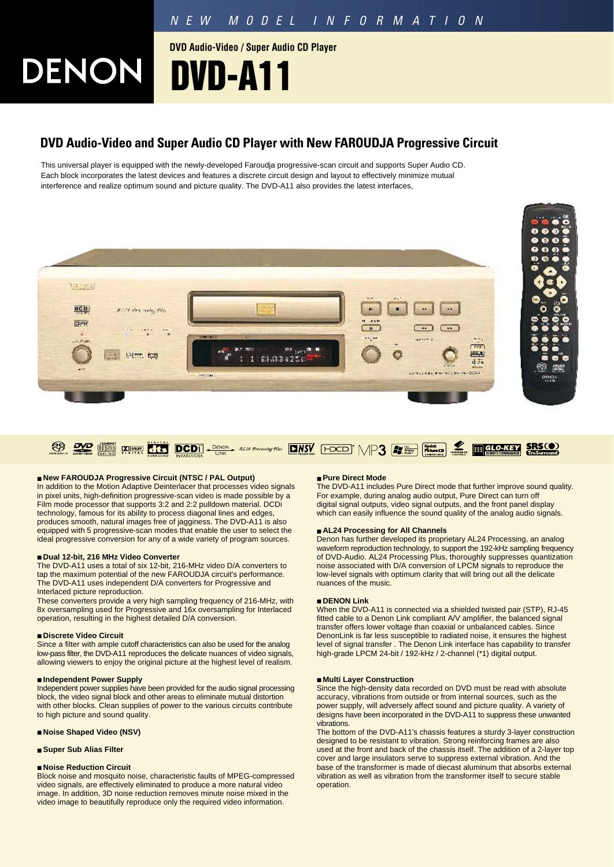**DVD Audio-Video / Super Audio CD Player**

# **DENONI DVD-A11**

### **DVD Audio-Video and Super Audio CD Player with New FAROUDJA Progressive Circuit**

This universal player is equipped with the newly-developed Faroudja progressive-scan circuit and supports Super Audio CD. Each block incorporates the latest devices and features a discrete circuit design and layout to effectively minimize mutual interference and realize optimum sound and picture quality. The DVD-A11 also provides the latest interfaces,





### ■ **New FAROUDJA Progressive Circuit (NTSC / PAL Output)**

In addition to the Motion Adaptive Deinterlacer that processes video signals in pixel units, high-definition progressive-scan video is made possible by a Film mode processor that supports 3:2 and 2:2 pulldown material. DCDi technology, famous for its ability to process diagonal lines and edges, produces smooth, natural images free of jagginess. The DVD-A11 is also equipped with 5 progressive-scan modes that enable the user to select the ideal progressive conversion for any of a wide variety of program sources.

#### ■ **Dual 12-bit, 216 MHz Video Converter**

The DVD-A11 uses a total of six 12-bit, 216-MHz video D/A converters to tap the maximum potential of the new FAROUDJA circuit's performance. The DVD-A11 uses independent D/A converters for Progressive and Interlaced picture reproduction.

These converters provide a very high sampling frequency of 216-MHz, with 8x oversampling used for Progressive and 16x oversampling for Interlaced operation, resulting in the highest detailed D/A conversion.

#### ■ **Discrete Video Circuit**

Since a filter with ample cutoff characteristics can also be used for the analog low-pass filter, the DVD-A11 reproduces the delicate nuances of video signals, allowing viewers to enjoy the original picture at the highest level of realism.

#### ■ **Independent Power Supply**

Independent power supplies have been provided for the audio signal processing block, the video signal block and other areas to eliminate mutual distortion with other blocks. Clean supplies of power to the various circuits contribute to high picture and sound quality.

### ■ **Noise Shaped Video (NSV)**

#### ■ **Super Sub Alias Filter**

#### ■ **Noise Reduction Circuit**

Block noise and mosquito noise, characteristic faults of MPEG-compressed video signals, are effectively eliminated to produce a more natural video image. In addition, 3D noise reduction removes minute noise mixed in the video image to beautifully reproduce only the required video information.

#### ■ **Pure Direct Mode**

The DVD-A11 includes Pure Direct mode that further improve sound quality. For example, during analog audio output, Pure Direct can turn off digital signal outputs, video signal outputs, and the front panel display which can easily influence the sound quality of the analog audio signals.

#### ■ **AL24 Processing for All Channels**

Denon has further developed its proprietary AL24 Processing, an analog waveform reproduction technology, to support the 192-kHz sampling frequency of DVD-Audio. AL24 Processing Plus, thoroughly suppresses quantization noise associated with D/A conversion of LPCM signals to reproduce the low-level signals with optimum clarity that will bring out all the delicate nuances of the music.

#### ■ **DENON Link**

When the DVD-A11 is connected via a shielded twisted pair (STP), RJ-45 fitted cable to a Denon Link compliant A/V amplifier, the balanced signal transfer offers lower voltage than coaxial or unbalanced cables. Since DenonLink is far less susceptible to radiated noise, it ensures the highest level of signal transfer . The Denon Link interface has capability to transfer high-grade LPCM 24-bit / 192-kHz / 2-channel (\*1) digital output.

#### ■ **Multi Layer Construction**

Since the high-density data recorded on DVD must be read with absolute accuracy, vibrations from outside or from internal sources, such as the power supply, will adversely affect sound and picture quality. A variety of designs have been incorporated in the DVD-A11 to suppress these unwanted vibrations.

The bottom of the DVD-A11's chassis features a sturdy 3-layer construction designed to be resistant to vibration. Strong reinforcing frames are also used at the front and back of the chassis itself. The addition of a 2-layer top cover and large insulators serve to suppress external vibration. And the base of the transformer is made of diecast aluminum that absorbs external vibration as well as vibration from the transformer itself to secure stable operation.